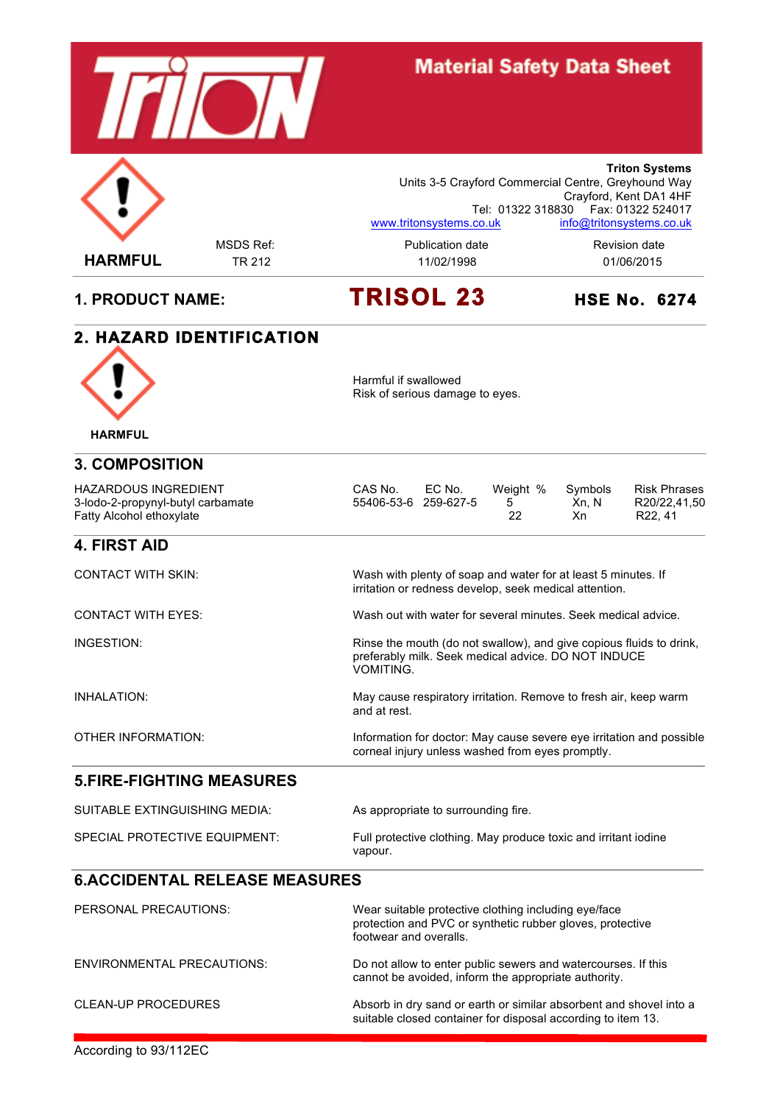

## **Material Safety Data Sheet**



MSDS Ref: example and a Publication date and a Revision date **Triton Systems** Units 3-5 Crayford Commercial Centre, Greyhound Way Crayford, Kent DA1 4HF Tel: 01322 318830 Fax: 01322 524017 www.tritonsystems.co.uk info@tritonsystems.co.uk

# **1. PRODUCT NAME: TRISOL 23 HSE No. 6274**

#### **2. HAZARD IDENTIFICATION**



Harmful if swallowed Risk of serious damage to eyes.

preferably milk. Seek medical advice. DO NOT INDUCE

corneal injury unless washed from eyes promptly.

| <b>3. COMPOSITION</b> |
|-----------------------|

| 3-lodo-2-propynyl-butyl carbamate<br>55406-53-6 259-627-5<br>Fatty Alcohol ethoxylate | Xn. N<br>Xn. | R20/22.41.50<br>R <sub>22</sub> .41 |
|---------------------------------------------------------------------------------------|--------------|-------------------------------------|
|---------------------------------------------------------------------------------------|--------------|-------------------------------------|

#### **4. FIRST AID**

CONTACT WITH SKIN: Wash with plenty of soap and water for at least 5 minutes. If irritation or redness develop, seek medical attention.

VOMITING.

and at rest.

CONTACT WITH EYES: Wash out with water for several minutes. Seek medical advice.

INGESTION: Rinse the mouth (do not swallow), and give copious fluids to drink,

INHALATION: May cause respiratory irritation. Remove to fresh air, keep warm

OTHER INFORMATION: Information for doctor: May cause severe eye irritation and possible

#### **5.FIRE-FIGHTING MEASURES**

| SUITABLE EXTINGUISHING MEDIA: | As appropriate to surrounding fire.                                        |
|-------------------------------|----------------------------------------------------------------------------|
| SPECIAL PROTECTIVE EQUIPMENT: | Full protective clothing. May produce toxic and irritant iodine<br>vapour. |

#### **6.ACCIDENTAL RELEASE MEASURES**

| PERSONAL PRECAUTIONS:      | Wear suitable protective clothing including eye/face<br>protection and PVC or synthetic rubber gloves, protective<br>footwear and overalls. |
|----------------------------|---------------------------------------------------------------------------------------------------------------------------------------------|
| ENVIRONMENTAL PRECAUTIONS: | Do not allow to enter public sewers and watercourses. If this<br>cannot be avoided, inform the appropriate authority.                       |
| CLEAN-UP PROCEDURES        | Absorb in dry sand or earth or similar absorbent and shovel into a<br>suitable closed container for disposal according to item 13.          |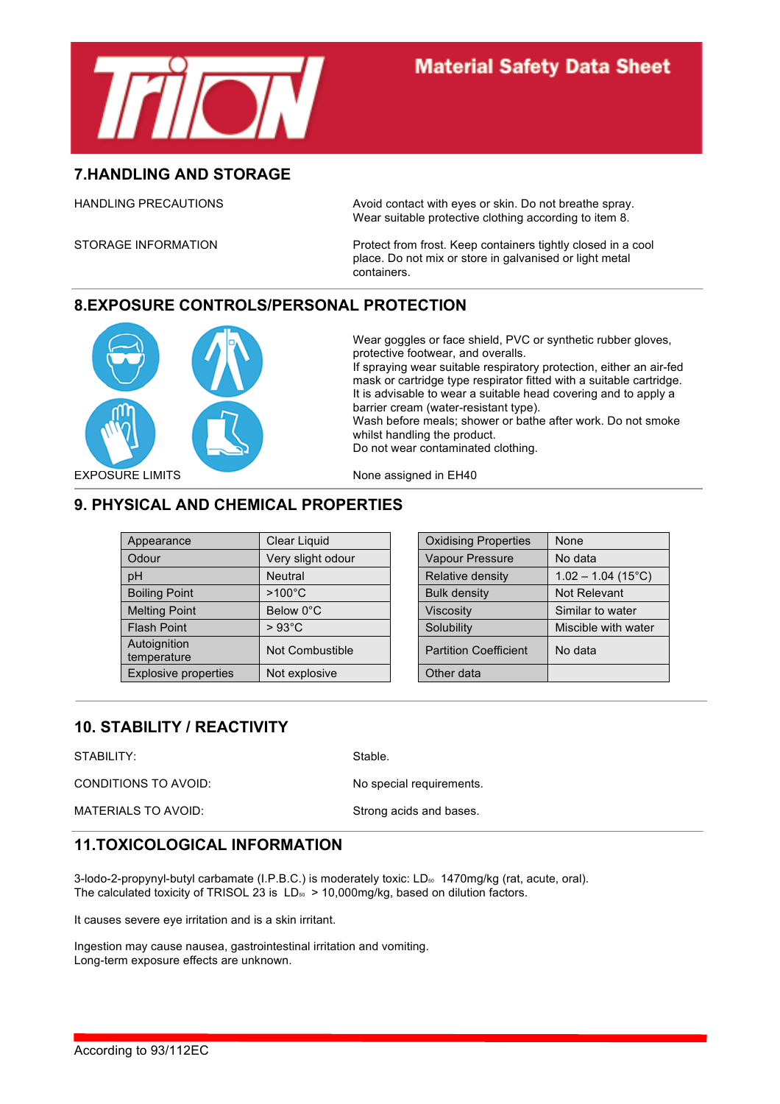

#### **7.HANDLING AND STORAGE**

HANDLING PRECAUTIONS Avoid contact with eyes or skin. Do not breathe spray. Wear suitable protective clothing according to item 8.

STORAGE INFORMATION Protect from frost. Keep containers tightly closed in a cool place. Do not mix or store in galvanised or light metal containers.

#### **8.EXPOSURE CONTROLS/PERSONAL PROTECTION**



Wear goggles or face shield, PVC or synthetic rubber gloves, protective footwear, and overalls.

If spraying wear suitable respiratory protection, either an air-fed mask or cartridge type respirator fitted with a suitable cartridge. It is advisable to wear a suitable head covering and to apply a barrier cream (water-resistant type).

Wash before meals; shower or bathe after work. Do not smoke whilst handling the product.

Do not wear contaminated clothing.

### **9. PHYSICAL AND CHEMICAL PROPERTIES**

| Appearance                  | Clear Liquid      | <b>Oxidising Properties</b>  | None                              |
|-----------------------------|-------------------|------------------------------|-----------------------------------|
| Odour                       | Very slight odour | Vapour Pressure              | No data                           |
| pH                          | Neutral           | Relative density             | $1.02 - 1.04$ (15 <sup>°</sup> C) |
| <b>Boiling Point</b>        | $>100^{\circ}$ C  | <b>Bulk density</b>          | Not Relevant                      |
| <b>Melting Point</b>        | Below 0°C         | <b>Viscosity</b>             | Similar to water                  |
| <b>Flash Point</b>          | $>93^{\circ}$ C   | Solubility                   | Miscible with water               |
| Autoignition<br>temperature | Not Combustible   | <b>Partition Coefficient</b> | No data                           |
| Explosive properties        | Not explosive     | Other data                   |                                   |

| <b>Oxidising Properties</b>  | None                              |
|------------------------------|-----------------------------------|
| Vapour Pressure              | No data                           |
| Relative density             | $1.02 - 1.04$ (15 <sup>°</sup> C) |
| <b>Bulk density</b>          | Not Relevant                      |
| <b>Viscosity</b>             | Similar to water                  |
| Solubility                   | Miscible with water               |
| <b>Partition Coefficient</b> | No data                           |
| Other data                   |                                   |

#### **10. STABILITY / REACTIVITY**

STABILITY: Stable.

CONDITIONS TO AVOID: No special requirements.

#### **11.TOXICOLOGICAL INFORMATION**

3-lodo-2-propynyl-butyl carbamate (I.P.B.C.) is moderately toxic: LD<sub>50</sub> 1470mg/kg (rat, acute, oral). The calculated toxicity of TRISOL 23 is  $LD_{50} > 10,000 \text{mg/kg}$ , based on dilution factors.

It causes severe eye irritation and is a skin irritant.

Ingestion may cause nausea, gastrointestinal irritation and vomiting. Long-term exposure effects are unknown.

MATERIALS TO AVOID: Strong acids and bases.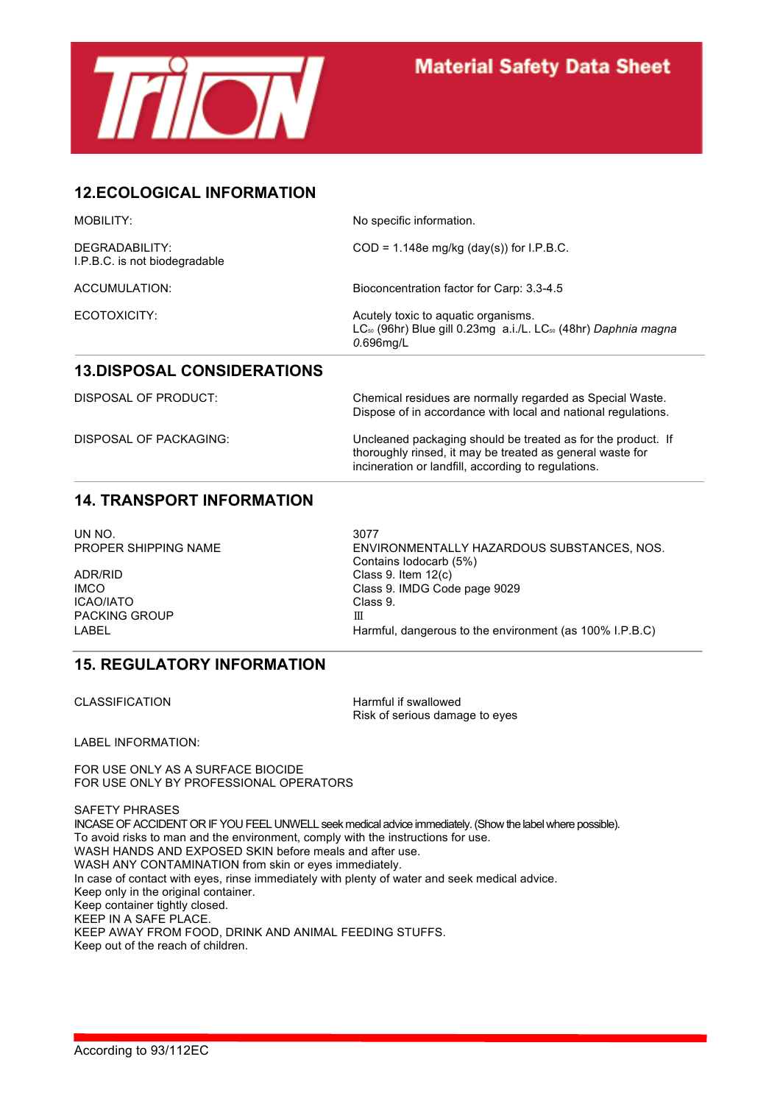

### **12.ECOLOGICAL INFORMATION**

| <b>MOBILITY:</b>                                | No specific information.                                                                                                                      |
|-------------------------------------------------|-----------------------------------------------------------------------------------------------------------------------------------------------|
| DEGRADABILITY:<br>I.P.B.C. is not biodegradable | $COD = 1.148e$ mg/kg (day(s)) for I.P.B.C.                                                                                                    |
| ACCUMULATION:                                   | Bioconcentration factor for Carp: 3.3-4.5                                                                                                     |
| ECOTOXICITY:                                    | Acutely toxic to aquatic organisms.<br>LC <sub>50</sub> (96hr) Blue gill 0.23mg a.i./L. LC <sub>50</sub> (48hr) Daphnia magna<br>$0.696$ mg/L |
| <b>13.DISPOSAL CONSIDERATIONS</b>               |                                                                                                                                               |
| <b>DISPOSAL OF PRODUCT:</b>                     | Chemical residues are normally regarded as Special Waste.<br>Dispose of in accordance with local and national regulations.                    |

DISPOSAL OF PACKAGING: Uncleaned packaging should be treated as for the product. If thoroughly rinsed, it may be treated as general waste for incineration or landfill, according to regulations.

#### **14. TRANSPORT INFORMATION**

UN NO. 3077

ADR/RID Class 9. Item 12(c) ICAO/IATO Class 9. PACKING GROUP **III** 

PROPER SHIPPING NAME ENVIRONMENTALLY HAZARDOUS SUBSTANCES, NOS. Contains Iodocarb (5%) IMCO **Class 9. IMDG Code page 9029** LABEL **Example 2** Harmful, dangerous to the environment (as 100% I.P.B.C)

#### **15. REGULATORY INFORMATION**

CLASSIFICATION Harmful if swallowed Risk of serious damage to eyes

LABEL INFORMATION:

FOR USE ONLY AS A SURFACE BIOCIDE FOR USE ONLY BY PROFESSIONAL OPERATORS

SAFETY PHRASES INCASE OF ACCIDENT OR IF YOU FEEL UNWELL seek medical advice immediately. (Show the label where possible). To avoid risks to man and the environment, comply with the instructions for use. WASH HANDS AND EXPOSED SKIN before meals and after use. WASH ANY CONTAMINATION from skin or eyes immediately. In case of contact with eyes, rinse immediately with plenty of water and seek medical advice. Keep only in the original container. Keep container tightly closed. KEEP IN A SAFE PLACE. KEEP AWAY FROM FOOD, DRINK AND ANIMAL FEEDING STUFFS. Keep out of the reach of children.